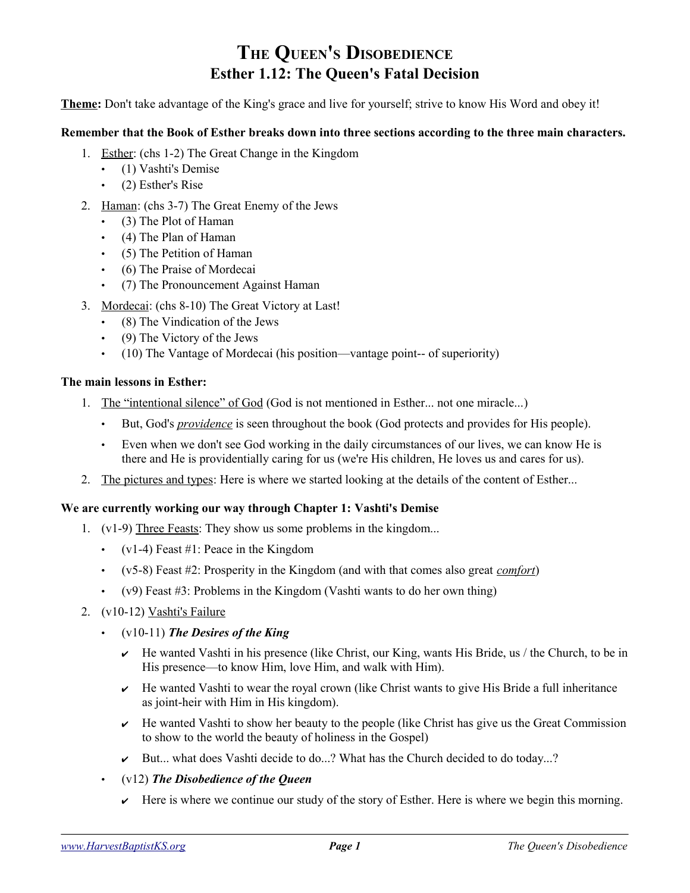### **THE QUEEN'S DISOBEDIENCE Esther 1.12: The Queen's Fatal Decision**

**Theme:** Don't take advantage of the King's grace and live for yourself; strive to know His Word and obey it!

#### **Remember that the Book of Esther breaks down into three sections according to the three main characters.**

- 1. Esther: (chs 1-2) The Great Change in the Kingdom
	- (1) Vashti's Demise
	- (2) Esther's Rise
- 2. Haman: (chs 3-7) The Great Enemy of the Jews
	- (3) The Plot of Haman
	- (4) The Plan of Haman
	- (5) The Petition of Haman
	- (6) The Praise of Mordecai
	- (7) The Pronouncement Against Haman
- 3. Mordecai: (chs 8-10) The Great Victory at Last!
	- (8) The Vindication of the Jews
	- (9) The Victory of the Jews
	- (10) The Vantage of Mordecai (his position—vantage point-- of superiority)

#### **The main lessons in Esther:**

- 1. The "intentional silence" of God (God is not mentioned in Esther... not one miracle...)
	- But, God's *providence* is seen throughout the book (God protects and provides for His people).
	- Even when we don't see God working in the daily circumstances of our lives, we can know He is there and He is providentially caring for us (we're His children, He loves us and cares for us).
- 2. The pictures and types: Here is where we started looking at the details of the content of Esther...

#### **We are currently working our way through Chapter 1: Vashti's Demise**

- 1. (v1-9) Three Feasts: They show us some problems in the kingdom...
	- $(v1-4)$  Feast #1: Peace in the Kingdom
	- (v5-8) Feast #2: Prosperity in the Kingdom (and with that comes also great *comfort*)
	- $(v9)$  Feast #3: Problems in the Kingdom (Vashti wants to do her own thing)
- 2. (v10-12) Vashti's Failure
	- (v10-11) *The Desires of the King*
		- $\vee$  He wanted Vashti in his presence (like Christ, our King, wants His Bride, us / the Church, to be in His presence—to know Him, love Him, and walk with Him).
		- $\vee$  He wanted Vashti to wear the royal crown (like Christ wants to give His Bride a full inheritance as joint-heir with Him in His kingdom).
		- $\vee$  He wanted Vashti to show her beauty to the people (like Christ has give us the Great Commission to show to the world the beauty of holiness in the Gospel)
		- $\blacktriangleright$  But... what does Vashti decide to do...? What has the Church decided to do today...?
	- (v12) *The Disobedience of the Queen*
		- $\blacktriangleright$  Here is where we continue our study of the story of Esther. Here is where we begin this morning.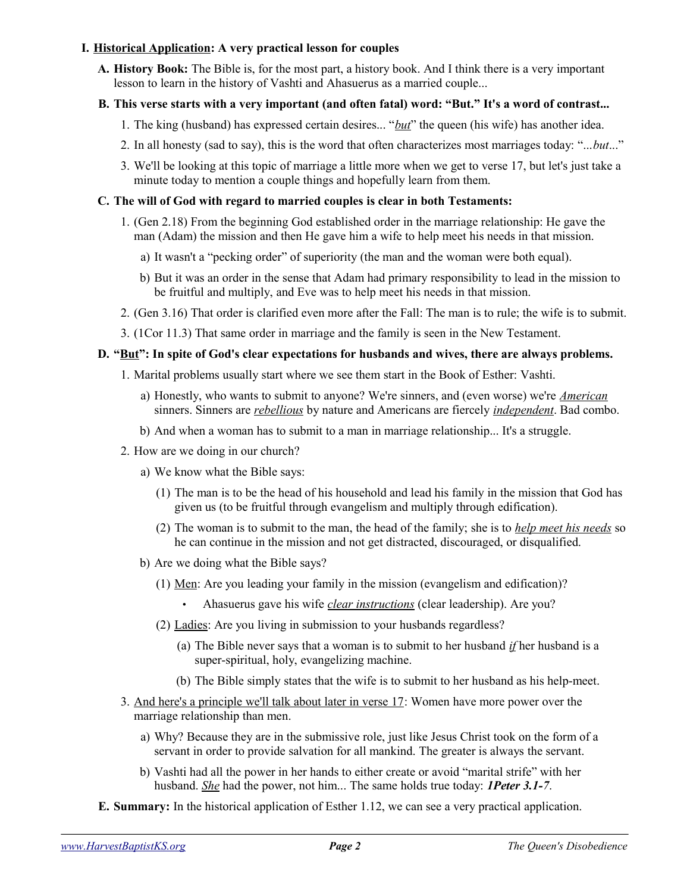#### **I. Historical Application: A very practical lesson for couples**

**A. History Book:** The Bible is, for the most part, a history book. And I think there is a very important lesson to learn in the history of Vashti and Ahasuerus as a married couple...

#### **B. This verse starts with a very important (and often fatal) word: "But." It's a word of contrast...**

- 1. The king (husband) has expressed certain desires... "*but*" the queen (his wife) has another idea.
- 2. In all honesty (sad to say), this is the word that often characterizes most marriages today: "...*but*..."
- 3. We'll be looking at this topic of marriage a little more when we get to verse 17, but let's just take a minute today to mention a couple things and hopefully learn from them.

#### **C. The will of God with regard to married couples is clear in both Testaments:**

- 1. (Gen 2.18) From the beginning God established order in the marriage relationship: He gave the man (Adam) the mission and then He gave him a wife to help meet his needs in that mission.
	- a) It wasn't a "pecking order" of superiority (the man and the woman were both equal).
	- b) But it was an order in the sense that Adam had primary responsibility to lead in the mission to be fruitful and multiply, and Eve was to help meet his needs in that mission.
- 2. (Gen 3.16) That order is clarified even more after the Fall: The man is to rule; the wife is to submit.
- 3. (1Cor 11.3) That same order in marriage and the family is seen in the New Testament.

#### **D. "But": In spite of God's clear expectations for husbands and wives, there are always problems.**

- 1. Marital problems usually start where we see them start in the Book of Esther: Vashti.
	- a) Honestly, who wants to submit to anyone? We're sinners, and (even worse) we're *American* sinners. Sinners are *rebellious* by nature and Americans are fiercely *independent*. Bad combo.
	- b) And when a woman has to submit to a man in marriage relationship... It's a struggle.
- 2. How are we doing in our church?
	- a) We know what the Bible says:
		- (1) The man is to be the head of his household and lead his family in the mission that God has given us (to be fruitful through evangelism and multiply through edification).
		- (2) The woman is to submit to the man, the head of the family; she is to *help meet his needs* so he can continue in the mission and not get distracted, discouraged, or disqualified.
	- b) Are we doing what the Bible says?
		- (1) Men: Are you leading your family in the mission (evangelism and edification)?
			- Ahasuerus gave his wife *clear instructions* (clear leadership). Are you?
		- (2) Ladies: Are you living in submission to your husbands regardless?
			- (a) The Bible never says that a woman is to submit to her husband *if* her husband is a super-spiritual, holy, evangelizing machine.
			- (b) The Bible simply states that the wife is to submit to her husband as his help-meet.
- 3. And here's a principle we'll talk about later in verse 17: Women have more power over the marriage relationship than men.
	- a) Why? Because they are in the submissive role, just like Jesus Christ took on the form of a servant in order to provide salvation for all mankind. The greater is always the servant.
	- b) Vashti had all the power in her hands to either create or avoid "marital strife" with her husband. *She* had the power, not him... The same holds true today: *1Peter 3.1-7*.
- **E. Summary:** In the historical application of Esther 1.12, we can see a very practical application.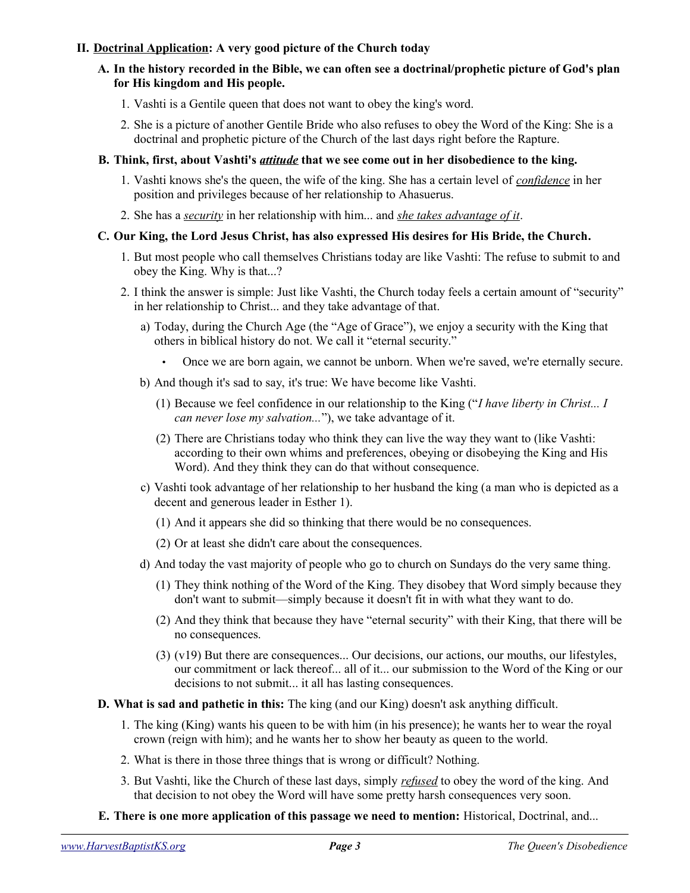#### **II. Doctrinal Application: A very good picture of the Church today**

#### **A. In the history recorded in the Bible, we can often see a doctrinal/prophetic picture of God's plan for His kingdom and His people.**

- 1. Vashti is a Gentile queen that does not want to obey the king's word.
- 2. She is a picture of another Gentile Bride who also refuses to obey the Word of the King: She is a doctrinal and prophetic picture of the Church of the last days right before the Rapture.

#### **B. Think, first, about Vashti's** *attitude* **that we see come out in her disobedience to the king.**

- 1. Vashti knows she's the queen, the wife of the king. She has a certain level of *confidence* in her position and privileges because of her relationship to Ahasuerus.
- 2. She has a *security* in her relationship with him... and *she takes advantage of it*.

#### **C. Our King, the Lord Jesus Christ, has also expressed His desires for His Bride, the Church.**

- 1. But most people who call themselves Christians today are like Vashti: The refuse to submit to and obey the King. Why is that...?
- 2. I think the answer is simple: Just like Vashti, the Church today feels a certain amount of "security" in her relationship to Christ... and they take advantage of that.
	- a) Today, during the Church Age (the "Age of Grace"), we enjoy a security with the King that others in biblical history do not. We call it "eternal security."
		- Once we are born again, we cannot be unborn. When we're saved, we're eternally secure.
	- b) And though it's sad to say, it's true: We have become like Vashti.
		- (1) Because we feel confidence in our relationship to the King ("*I have liberty in Christ... I can never lose my salvation...*"), we take advantage of it.
		- (2) There are Christians today who think they can live the way they want to (like Vashti: according to their own whims and preferences, obeying or disobeying the King and His Word). And they think they can do that without consequence.
	- c) Vashti took advantage of her relationship to her husband the king (a man who is depicted as a decent and generous leader in Esther 1).
		- (1) And it appears she did so thinking that there would be no consequences.
		- (2) Or at least she didn't care about the consequences.
	- d) And today the vast majority of people who go to church on Sundays do the very same thing.
		- (1) They think nothing of the Word of the King. They disobey that Word simply because they don't want to submit—simply because it doesn't fit in with what they want to do.
		- (2) And they think that because they have "eternal security" with their King, that there will be no consequences.
		- (3) (v19) But there are consequences... Our decisions, our actions, our mouths, our lifestyles, our commitment or lack thereof... all of it... our submission to the Word of the King or our decisions to not submit... it all has lasting consequences.

#### **D. What is sad and pathetic in this:** The king (and our King) doesn't ask anything difficult.

- 1. The king (King) wants his queen to be with him (in his presence); he wants her to wear the royal crown (reign with him); and he wants her to show her beauty as queen to the world.
- 2. What is there in those three things that is wrong or difficult? Nothing.
- 3. But Vashti, like the Church of these last days, simply *refused* to obey the word of the king. And that decision to not obey the Word will have some pretty harsh consequences very soon.
- **E. There is one more application of this passage we need to mention:** Historical, Doctrinal, and...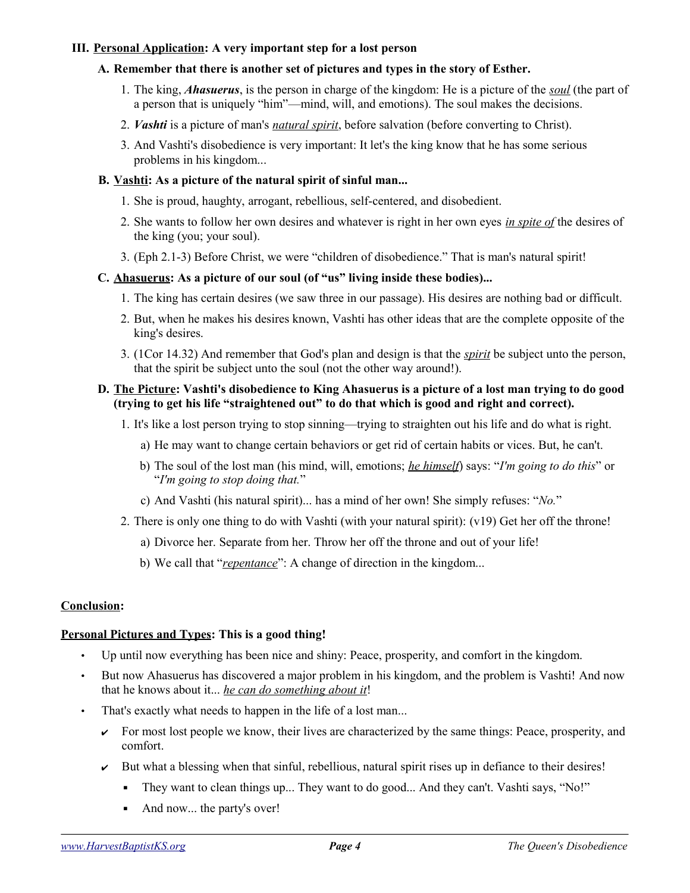#### **III. Personal Application: A very important step for a lost person**

#### **A. Remember that there is another set of pictures and types in the story of Esther.**

- 1. The king, *Ahasuerus*, is the person in charge of the kingdom: He is a picture of the *soul* (the part of a person that is uniquely "him"—mind, will, and emotions). The soul makes the decisions.
- 2. *Vashti* is a picture of man's *natural spirit*, before salvation (before converting to Christ).
- 3. And Vashti's disobedience is very important: It let's the king know that he has some serious problems in his kingdom...

#### **B. Vashti: As a picture of the natural spirit of sinful man...**

- 1. She is proud, haughty, arrogant, rebellious, self-centered, and disobedient.
- 2. She wants to follow her own desires and whatever is right in her own eyes *in spite of* the desires of the king (you; your soul).
- 3. (Eph 2.1-3) Before Christ, we were "children of disobedience." That is man's natural spirit!

#### **C. Ahasuerus: As a picture of our soul (of "us" living inside these bodies)...**

- 1. The king has certain desires (we saw three in our passage). His desires are nothing bad or difficult.
- 2. But, when he makes his desires known, Vashti has other ideas that are the complete opposite of the king's desires.
- 3. (1Cor 14.32) And remember that God's plan and design is that the *spirit* be subject unto the person, that the spirit be subject unto the soul (not the other way around!).

#### **D. The Picture: Vashti's disobedience to King Ahasuerus is a picture of a lost man trying to do good (trying to get his life "straightened out" to do that which is good and right and correct).**

- 1. It's like a lost person trying to stop sinning—trying to straighten out his life and do what is right.
	- a) He may want to change certain behaviors or get rid of certain habits or vices. But, he can't.
	- b) The soul of the lost man (his mind, will, emotions; *he himself*) says: "*I'm going to do this*" or "*I'm going to stop doing that.*"
	- c) And Vashti (his natural spirit)... has a mind of her own! She simply refuses: "*No.*"
- 2. There is only one thing to do with Vashti (with your natural spirit): (v19) Get her off the throne!
	- a) Divorce her. Separate from her. Throw her off the throne and out of your life!
	- b) We call that "*repentance*": A change of direction in the kingdom...

#### **Conclusion:**

#### **Personal Pictures and Types: This is a good thing!**

- Up until now everything has been nice and shiny: Peace, prosperity, and comfort in the kingdom.
- But now Ahasuerus has discovered a major problem in his kingdom, and the problem is Vashti! And now that he knows about it... *he can do something about it*!
- That's exactly what needs to happen in the life of a lost man...
	- $\triangleright$  For most lost people we know, their lives are characterized by the same things: Peace, prosperity, and comfort.
	- $\sim$  But what a blessing when that sinful, rebellious, natural spirit rises up in defiance to their desires!
		- They want to clean things up... They want to do good... And they can't. Vashti says, "No!"
		- And now... the party's over!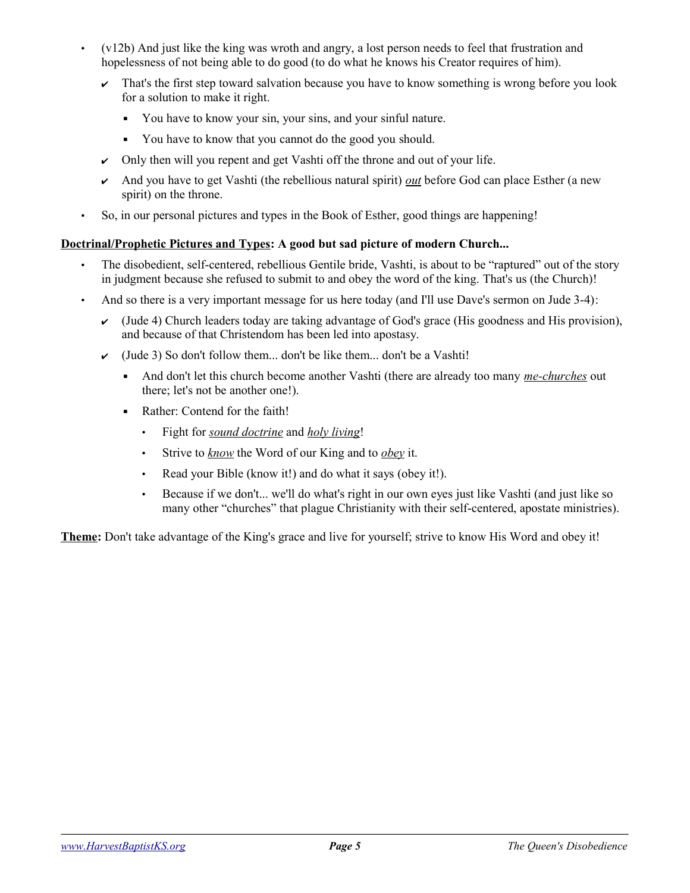- (v12b) And just like the king was wroth and angry, a lost person needs to feel that frustration and hopelessness of not being able to do good (to do what he knows his Creator requires of him).
	- $\sim$  That's the first step toward salvation because you have to know something is wrong before you look for a solution to make it right.
		- You have to know your sin, your sins, and your sinful nature.
		- You have to know that you cannot do the good you should.
	- $\sim$  Only then will you repent and get Vashti off the throne and out of your life.
	- ✔ And you have to get Vashti (the rebellious natural spirit) *out* before God can place Esther (a new spirit) on the throne.
- So, in our personal pictures and types in the Book of Esther, good things are happening!

#### **Doctrinal/Prophetic Pictures and Types: A good but sad picture of modern Church...**

- The disobedient, self-centered, rebellious Gentile bride, Vashti, is about to be "raptured" out of the story in judgment because she refused to submit to and obey the word of the king. That's us (the Church)!
- And so there is a very important message for us here today (and I'll use Dave's sermon on Jude 3-4):
	- $\checkmark$  (Jude 4) Church leaders today are taking advantage of God's grace (His goodness and His provision), and because of that Christendom has been led into apostasy.
	- $\checkmark$  (Jude 3) So don't follow them... don't be like them... don't be a Vashti!
		- And don't let this church become another Vashti (there are already too many *me-churches* out there; let's not be another one!).
		- Rather: Contend for the faith!
			- Fight for *sound doctrine* and *holy living*!
			- Strive to *know* the Word of our King and to *obey* it.
			- Read your Bible (know it!) and do what it says (obey it!).
			- Because if we don't... we'll do what's right in our own eyes just like Vashti (and just like so many other "churches" that plague Christianity with their self-centered, apostate ministries).

**Theme:** Don't take advantage of the King's grace and live for yourself; strive to know His Word and obey it!